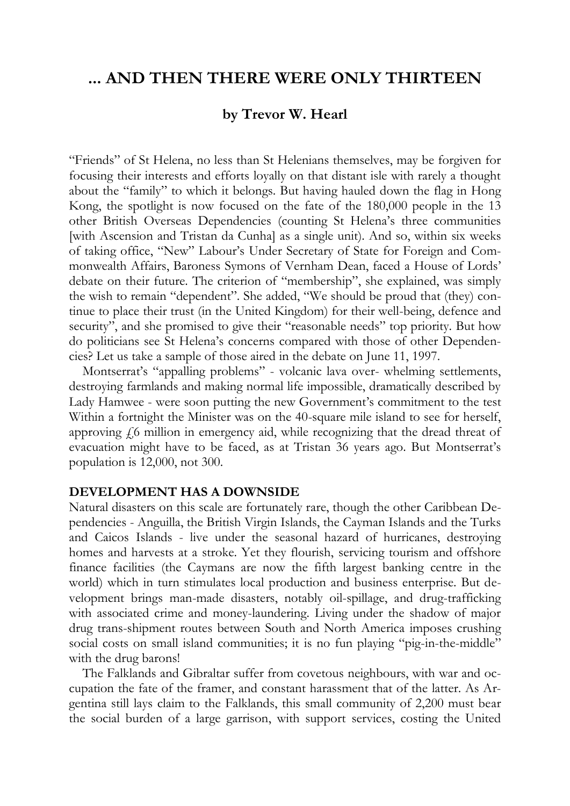# **... AND THEN THERE WERE ONLY THIRTEEN**

## **by Trevor W. Hearl**

"Friends" of St Helena, no less than St Helenians themselves, may be forgiven for focusing their interests and efforts loyally on that distant isle with rarely a thought about the "family" to which it belongs. But having hauled down the flag in Hong Kong, the spotlight is now focused on the fate of the 180,000 people in the 13 other British Overseas Dependencies (counting St Helena's three communities [with Ascension and Tristan da Cunha] as a single unit). And so, within six weeks of taking office, "New" Labour's Under Secretary of State for Foreign and Commonwealth Affairs, Baroness Symons of Vernham Dean, faced a House of Lords' debate on their future. The criterion of "membership", she explained, was simply the wish to remain "dependent". She added, "We should be proud that (they) continue to place their trust (in the United Kingdom) for their well-being, defence and security", and she promised to give their "reasonable needs" top priority. But how do politicians see St Helena's concerns compared with those of other Dependencies? Let us take a sample of those aired in the debate on June 11, 1997.

Montserrat's "appalling problems" - volcanic lava over- whelming settlements, destroying farmlands and making normal life impossible, dramatically described by Lady Hamwee - were soon putting the new Government's commitment to the test Within a fortnight the Minister was on the 40-square mile island to see for herself, approving  $f_0$  million in emergency aid, while recognizing that the dread threat of evacuation might have to be faced, as at Tristan 36 years ago. But Montserrat's population is 12,000, not 300.

#### **DEVELOPMENT HAS A DOWNSIDE**

Natural disasters on this scale are fortunately rare, though the other Caribbean Dependencies - Anguilla, the British Virgin Islands, the Cayman Islands and the Turks and Caicos Islands - live under the seasonal hazard of hurricanes, destroying homes and harvests at a stroke. Yet they flourish, servicing tourism and offshore finance facilities (the Caymans are now the fifth largest banking centre in the world) which in turn stimulates local production and business enterprise. But development brings man-made disasters, notably oil-spillage, and drug-trafficking with associated crime and money-laundering. Living under the shadow of major drug trans-shipment routes between South and North America imposes crushing social costs on small island communities; it is no fun playing "pig-in-the-middle" with the drug barons!

The Falklands and Gibraltar suffer from covetous neighbours, with war and occupation the fate of the framer, and constant harassment that of the latter. As Argentina still lays claim to the Falklands, this small community of 2,200 must bear the social burden of a large garrison, with support services, costing the United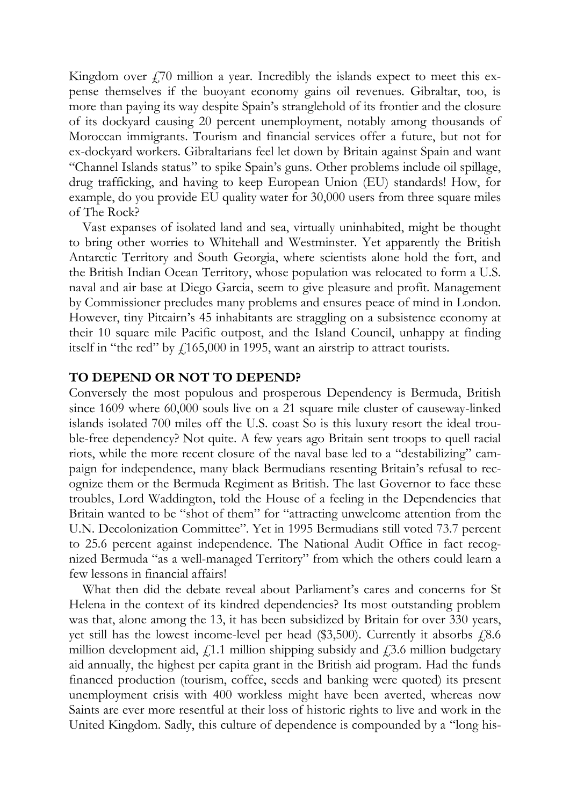Kingdom over  $f(70)$  million a year. Incredibly the islands expect to meet this expense themselves if the buoyant economy gains oil revenues. Gibraltar, too, is more than paying its way despite Spain's stranglehold of its frontier and the closure of its dockyard causing 20 percent unemployment, notably among thousands of Moroccan immigrants. Tourism and financial services offer a future, but not for ex-dockyard workers. Gibraltarians feel let down by Britain against Spain and want "Channel Islands status" to spike Spain's guns. Other problems include oil spillage, drug trafficking, and having to keep European Union (EU) standards! How, for example, do you provide EU quality water for 30,000 users from three square miles of The Rock?

Vast expanses of isolated land and sea, virtually uninhabited, might be thought to bring other worries to Whitehall and Westminster. Yet apparently the British Antarctic Territory and South Georgia, where scientists alone hold the fort, and the British Indian Ocean Territory, whose population was relocated to form a U.S. naval and air base at Diego Garcia, seem to give pleasure and profit. Management by Commissioner precludes many problems and ensures peace of mind in London. However, tiny Pitcairn's 45 inhabitants are straggling on a subsistence economy at their 10 square mile Pacific outpost, and the Island Council, unhappy at finding itself in "the red" by  $f165,000$  in 1995, want an airstrip to attract tourists.

#### **TO DEPEND OR NOT TO DEPEND?**

Conversely the most populous and prosperous Dependency is Bermuda, British since 1609 where 60,000 souls live on a 21 square mile cluster of causeway-linked islands isolated 700 miles off the U.S. coast So is this luxury resort the ideal trouble-free dependency? Not quite. A few years ago Britain sent troops to quell racial riots, while the more recent closure of the naval base led to a "destabilizing" campaign for independence, many black Bermudians resenting Britain's refusal to recognize them or the Bermuda Regiment as British. The last Governor to face these troubles, Lord Waddington, told the House of a feeling in the Dependencies that Britain wanted to be "shot of them" for "attracting unwelcome attention from the U.N. Decolonization Committee". Yet in 1995 Bermudians still voted 73.7 percent to 25.6 percent against independence. The National Audit Office in fact recognized Bermuda "as a well-managed Territory" from which the others could learn a few lessons in financial affairs!

What then did the debate reveal about Parliament's cares and concerns for St Helena in the context of its kindred dependencies? Its most outstanding problem was that, alone among the 13, it has been subsidized by Britain for over 330 years, yet still has the lowest income-level per head  $(\$3,500)$ . Currently it absorbs  $£8.6$ million development aid,  $f(1.1)$  million shipping subsidy and  $f(3.6)$  million budgetary aid annually, the highest per capita grant in the British aid program. Had the funds financed production (tourism, coffee, seeds and banking were quoted) its present unemployment crisis with 400 workless might have been averted, whereas now Saints are ever more resentful at their loss of historic rights to live and work in the United Kingdom. Sadly, this culture of dependence is compounded by a "long his-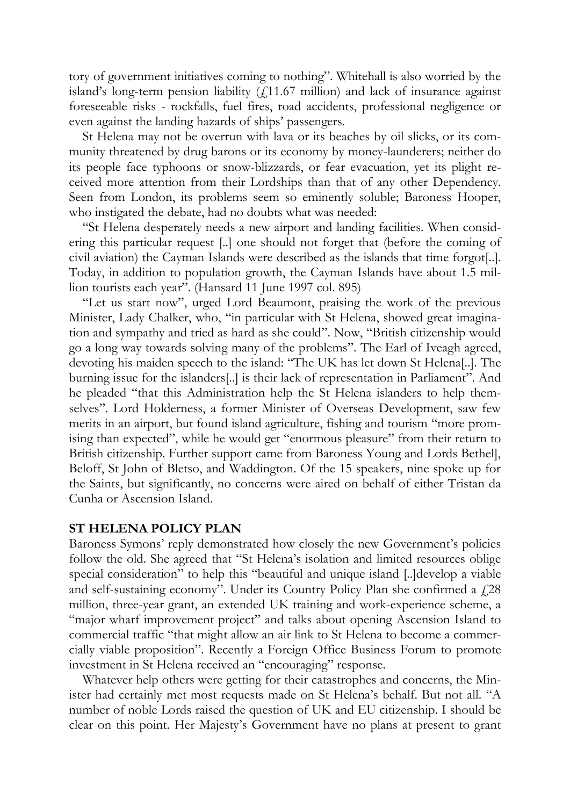tory of government initiatives coming to nothing". Whitehall is also worried by the island's long-term pension liability  $(f.11.67 \text{ million})$  and lack of insurance against foreseeable risks - rockfalls, fuel fires, road accidents, professional negligence or even against the landing hazards of ships' passengers.

St Helena may not be overrun with lava or its beaches by oil slicks, or its community threatened by drug barons or its economy by money-launderers; neither do its people face typhoons or snow-blizzards, or fear evacuation, yet its plight received more attention from their Lordships than that of any other Dependency. Seen from London, its problems seem so eminently soluble; Baroness Hooper, who instigated the debate, had no doubts what was needed:

"St Helena desperately needs a new airport and landing facilities. When considering this particular request [..] one should not forget that (before the coming of civil aviation) the Cayman Islands were described as the islands that time forgot[..]. Today, in addition to population growth, the Cayman Islands have about 1.5 million tourists each year". (Hansard 11 June 1997 col. 895)

"Let us start now", urged Lord Beaumont, praising the work of the previous Minister, Lady Chalker, who, "in particular with St Helena, showed great imagination and sympathy and tried as hard as she could". Now, "British citizenship would go a long way towards solving many of the problems". The Earl of Iveagh agreed, devoting his maiden speech to the island: "The UK has let down St Helena[..]. The burning issue for the islanders[..] is their lack of representation in Parliament". And he pleaded "that this Administration help the St Helena islanders to help themselves". Lord Holderness, a former Minister of Overseas Development, saw few merits in an airport, but found island agriculture, fishing and tourism "more promising than expected", while he would get "enormous pleasure" from their return to British citizenship. Further support came from Baroness Young and Lords Bethel], Beloff, St John of Bletso, and Waddington. Of the 15 speakers, nine spoke up for the Saints, but significantly, no concerns were aired on behalf of either Tristan da Cunha or Ascension Island.

#### **ST HELENA POLICY PLAN**

Baroness Symons' reply demonstrated how closely the new Government's policies follow the old. She agreed that "St Helena's isolation and limited resources oblige special consideration" to help this "beautiful and unique island [..]develop a viable and self-sustaining economy". Under its Country Policy Plan she confirmed a  $\zeta$ 28 million, three-year grant, an extended UK training and work-experience scheme, a "major wharf improvement project" and talks about opening Ascension Island to commercial traffic "that might allow an air link to St Helena to become a commercially viable proposition". Recently a Foreign Office Business Forum to promote investment in St Helena received an "encouraging" response.

Whatever help others were getting for their catastrophes and concerns, the Minister had certainly met most requests made on St Helena's behalf. But not all. "A number of noble Lords raised the question of UK and EU citizenship. I should be clear on this point. Her Majesty's Government have no plans at present to grant